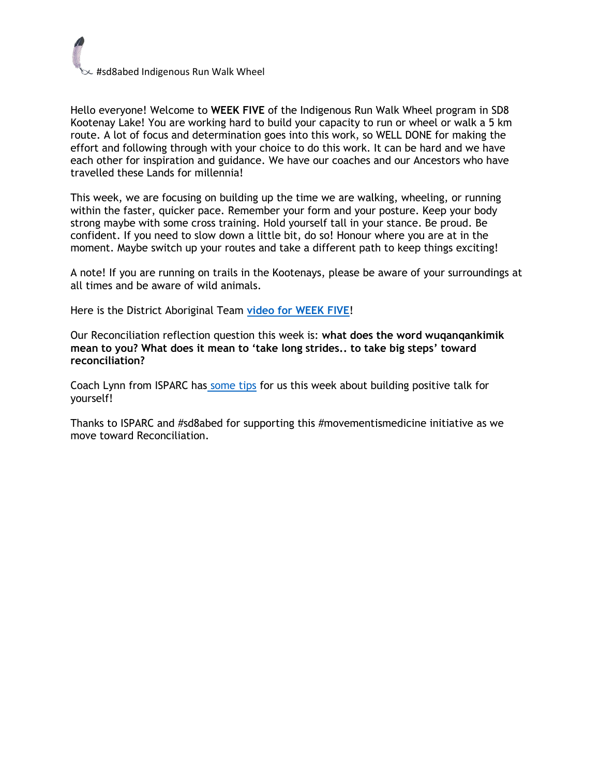## #sd8abed Indigenous Run Walk Wheel

Hello everyone! Welcome to **WEEK FIVE** of the Indigenous Run Walk Wheel program in SD8 Kootenay Lake! You are working hard to build your capacity to run or wheel or walk a 5 km route. A lot of focus and determination goes into this work, so WELL DONE for making the effort and following through with your choice to do this work. It can be hard and we have each other for inspiration and guidance. We have our coaches and our Ancestors who have travelled these Lands for millennia!

This week, we are focusing on building up the time we are walking, wheeling, or running within the faster, quicker pace. Remember your form and your posture. Keep your body strong maybe with some cross training. Hold yourself tall in your stance. Be proud. Be confident. If you need to slow down a little bit, do so! Honour where you are at in the moment. Maybe switch up your routes and take a different path to keep things exciting!

A note! If you are running on trails in the Kootenays, please be aware of your surroundings at all times and be aware of wild animals.

Here is the District Aboriginal Team **[video for WEEK FIVE](https://photos.app.goo.gl/5atZrjoqi62kazTQA)**!

Our Reconciliation reflection question this week is: **what does the word wuqanqankimik mean to you? What does it mean to 'take long strides.. to take big steps' toward reconciliation?**

Coach Lynn from ISPARC has [some tips](https://www.youtube.com/watch?v=k8w2uQX3mWQ) for us this week about building positive talk for yourself!

Thanks to ISPARC and #sd8abed for supporting this #movementismedicine initiative as we move toward Reconciliation.